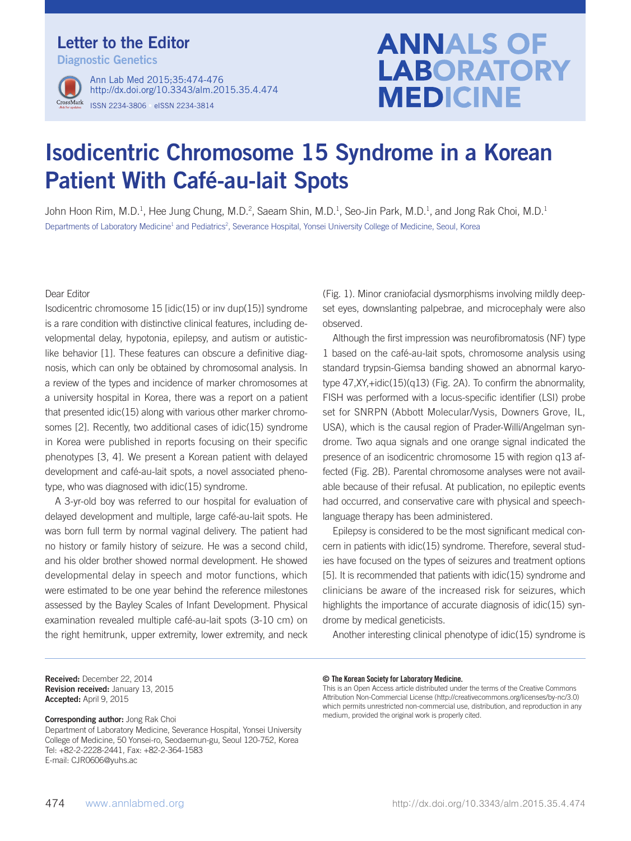## Letter to the Editor

Diagnostic Genetics



ISSN 2234-3806 • eISSN 2234-3814 Ann Lab Med 2015;35:474-476 http://dx.doi.org/10.3343/alm.2015.35.4.474

# **ANNALS OF LABORATORY MEDICINE**

## Isodicentric Chromosome 15 Syndrome in a Korean Patient With Café-au-lait Spots

John Hoon Rim, M.D.<sup>1</sup>, Hee Jung Chung, M.D.<sup>2</sup>, Saeam Shin, M.D.<sup>1</sup>, Seo-Jin Park, M.D.<sup>1</sup>, and Jong Rak Choi, M.D.<sup>1</sup> Departments of Laboratory Medicine<sup>1</sup> and Pediatrics<sup>2</sup>, Severance Hospital, Yonsei University College of Medicine, Seoul, Korea

Dear Editor

Isodicentric chromosome 15 [idic(15) or inv dup(15)] syndrome is a rare condition with distinctive clinical features, including developmental delay, hypotonia, epilepsy, and autism or autisticlike behavior [1]. These features can obscure a definitive diagnosis, which can only be obtained by chromosomal analysis. In a review of the types and incidence of marker chromosomes at a university hospital in Korea, there was a report on a patient that presented idic(15) along with various other marker chromosomes [2]. Recently, two additional cases of idic(15) syndrome in Korea were published in reports focusing on their specific phenotypes [3, 4]. We present a Korean patient with delayed development and café-au-lait spots, a novel associated phenotype, who was diagnosed with idic(15) syndrome.

A 3-yr-old boy was referred to our hospital for evaluation of delayed development and multiple, large café-au-lait spots. He was born full term by normal vaginal delivery. The patient had no history or family history of seizure. He was a second child, and his older brother showed normal development. He showed developmental delay in speech and motor functions, which were estimated to be one year behind the reference milestones assessed by the Bayley Scales of Infant Development. Physical examination revealed multiple café-au-lait spots (3-10 cm) on the right hemitrunk, upper extremity, lower extremity, and neck (Fig. 1). Minor craniofacial dysmorphisms involving mildly deepset eyes, downslanting palpebrae, and microcephaly were also observed.

Although the first impression was neurofibromatosis (NF) type 1 based on the café-au-lait spots, chromosome analysis using standard trypsin-Giemsa banding showed an abnormal karyotype 47,XY,+idic(15)(q13) (Fig. 2A). To confirm the abnormality, FISH was performed with a locus-specific identifier (LSI) probe set for SNRPN (Abbott Molecular/Vysis, Downers Grove, IL, USA), which is the causal region of Prader-Willi/Angelman syndrome. Two aqua signals and one orange signal indicated the presence of an isodicentric chromosome 15 with region q13 affected (Fig. 2B). Parental chromosome analyses were not available because of their refusal. At publication, no epileptic events had occurred, and conservative care with physical and speechlanguage therapy has been administered.

Epilepsy is considered to be the most significant medical concern in patients with idic(15) syndrome. Therefore, several studies have focused on the types of seizures and treatment options [5]. It is recommended that patients with idic(15) syndrome and clinicians be aware of the increased risk for seizures, which highlights the importance of accurate diagnosis of idic(15) syndrome by medical geneticists.

Another interesting clinical phenotype of idic(15) syndrome is

Received: December 22, 2014 Revision received: January 13, 2015 Accepted: April 9, 2015

Corresponding author: Jong Rak Choi

Department of Laboratory Medicine, Severance Hospital, Yonsei University College of Medicine, 50 Yonsei-ro, Seodaemun-gu, Seoul 120-752, Korea Tel: +82-2-2228-2441, Fax: +82-2-364-1583 E-mail: CJR0606@yuhs.ac

#### © The Korean Society for Laboratory Medicine.

This is an Open Access article distributed under the terms of the Creative Commons Attribution Non-Commercial License (http://creativecommons.org/licenses/by-nc/3.0) which permits unrestricted non-commercial use, distribution, and reproduction in any medium, provided the original work is properly cited.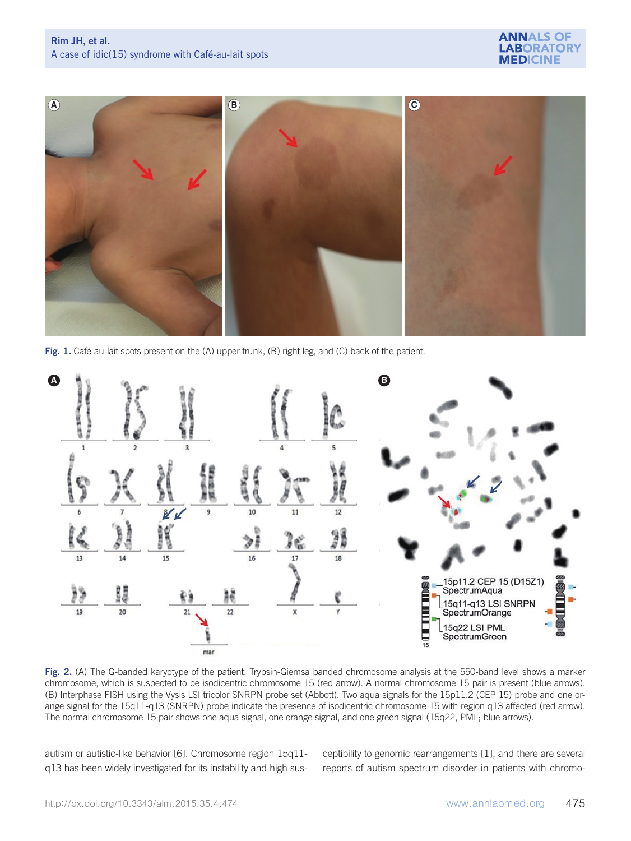



Fig. 1. Café-au-lait spots present on the (A) upper trunk, (B) right leg, and (C) back of the patient.



Fig. 2. (A) The G-banded karyotype of the patient. Trypsin-Giemsa banded chromosome analysis at the 550-band level shows a marker chromosome, which is suspected to be isodicentric chromosome 15 (red arrow). A normal chromosome 15 pair is present (blue arrows). (B) Interphase FISH using the Vysis LSI tricolor SNRPN probe set (Abbott). Two aqua signals for the 15p11.2 (CEP 15) probe and one orange signal for the 15q11-q13 (SNRPN) probe indicate the presence of isodicentric chromosome 15 with region q13 affected (red arrow). The normal chromosome 15 pair shows one aqua signal, one orange signal, and one green signal (15q22, PML; blue arrows).

autism or autistic-like behavior [6]. Chromosome region 15q11 q13 has been widely investigated for its instability and high susceptibility to genomic rearrangements [1], and there are several reports of autism spectrum disorder in patients with chromo-